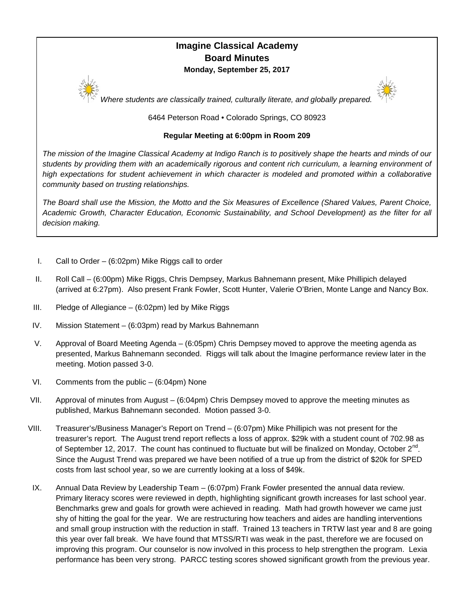# **Imagine Classical Academy Board Minutes Monday, September 25, 2017**



*Where students are classically trained, culturally literate, and globally prepared.*

6464 Peterson Road • Colorado Springs, CO 80923

### **Regular Meeting at 6:00pm in Room 209**

*The mission of the Imagine Classical Academy at Indigo Ranch is to positively shape the hearts and minds of our students by providing them with an academically rigorous and content rich curriculum, a learning environment of high expectations for student achievement in which character is modeled and promoted within a collaborative community based on trusting relationships.*

*The Board shall use the Mission, the Motto and the Six Measures of Excellence (Shared Values, Parent Choice, Academic Growth, Character Education, Economic Sustainability, and School Development) as the filter for all decision making.*

- I. Call to Order (6:02pm) Mike Riggs call to order
- II. Roll Call (6:00pm) Mike Riggs, Chris Dempsey, Markus Bahnemann present, Mike Phillipich delayed (arrived at 6:27pm). Also present Frank Fowler, Scott Hunter, Valerie O'Brien, Monte Lange and Nancy Box.
- III. Pledge of Allegiance (6:02pm) led by Mike Riggs
- IV. Mission Statement (6:03pm) read by Markus Bahnemann
- V. Approval of Board Meeting Agenda (6:05pm) Chris Dempsey moved to approve the meeting agenda as presented, Markus Bahnemann seconded. Riggs will talk about the Imagine performance review later in the meeting. Motion passed 3-0.
- VI. Comments from the public (6:04pm) None
- VII. Approval of minutes from August (6:04pm) Chris Dempsey moved to approve the meeting minutes as published, Markus Bahnemann seconded. Motion passed 3-0.
- VIII. Treasurer's/Business Manager's Report on Trend (6:07pm) Mike Phillipich was not present for the treasurer's report. The August trend report reflects a loss of approx. \$29k with a student count of 702.98 as of September 12, 2017. The count has continued to fluctuate but will be finalized on Monday, October  $2^{nd}$ . Since the August Trend was prepared we have been notified of a true up from the district of \$20k for SPED costs from last school year, so we are currently looking at a loss of \$49k.
- IX. Annual Data Review by Leadership Team (6:07pm) Frank Fowler presented the annual data review. Primary literacy scores were reviewed in depth, highlighting significant growth increases for last school year. Benchmarks grew and goals for growth were achieved in reading. Math had growth however we came just shy of hitting the goal for the year. We are restructuring how teachers and aides are handling interventions and small group instruction with the reduction in staff. Trained 13 teachers in TRTW last year and 8 are going this year over fall break. We have found that MTSS/RTI was weak in the past, therefore we are focused on improving this program. Our counselor is now involved in this process to help strengthen the program. Lexia performance has been very strong. PARCC testing scores showed significant growth from the previous year.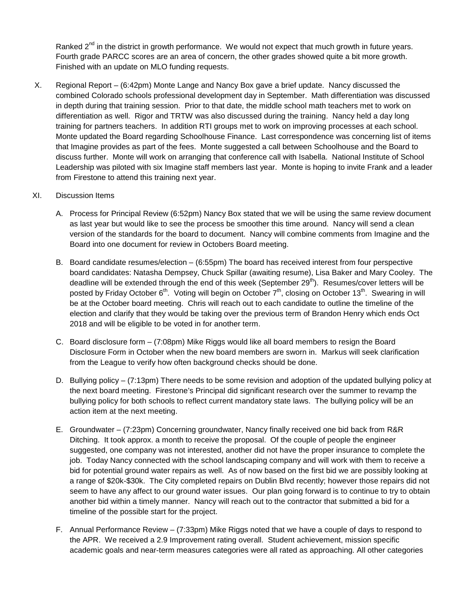Ranked  $2^{nd}$  in the district in growth performance. We would not expect that much growth in future years. Fourth grade PARCC scores are an area of concern, the other grades showed quite a bit more growth. Finished with an update on MLO funding requests.

X. Regional Report – (6:42pm) Monte Lange and Nancy Box gave a brief update. Nancy discussed the combined Colorado schools professional development day in September. Math differentiation was discussed in depth during that training session. Prior to that date, the middle school math teachers met to work on differentiation as well. Rigor and TRTW was also discussed during the training. Nancy held a day long training for partners teachers. In addition RTI groups met to work on improving processes at each school. Monte updated the Board regarding Schoolhouse Finance. Last correspondence was concerning list of items that Imagine provides as part of the fees. Monte suggested a call between Schoolhouse and the Board to discuss further. Monte will work on arranging that conference call with Isabella. National Institute of School Leadership was piloted with six Imagine staff members last year. Monte is hoping to invite Frank and a leader from Firestone to attend this training next year.

#### XI. Discussion Items

- A. Process for Principal Review (6:52pm) Nancy Box stated that we will be using the same review document as last year but would like to see the process be smoother this time around. Nancy will send a clean version of the standards for the board to document. Nancy will combine comments from Imagine and the Board into one document for review in Octobers Board meeting.
- B. Board candidate resumes/election (6:55pm) The board has received interest from four perspective board candidates: Natasha Dempsey, Chuck Spillar (awaiting resume), Lisa Baker and Mary Cooley. The deadline will be extended through the end of this week (September  $29<sup>th</sup>$ ). Resumes/cover letters will be posted by Friday October  $6<sup>th</sup>$ . Voting will begin on October  $7<sup>th</sup>$ , closing on October 13<sup>th</sup>. Swearing in will be at the October board meeting. Chris will reach out to each candidate to outline the timeline of the election and clarify that they would be taking over the previous term of Brandon Henry which ends Oct 2018 and will be eligible to be voted in for another term.
- C. Board disclosure form (7:08pm) Mike Riggs would like all board members to resign the Board Disclosure Form in October when the new board members are sworn in. Markus will seek clarification from the League to verify how often background checks should be done.
- D. Bullying policy (7:13pm) There needs to be some revision and adoption of the updated bullying policy at the next board meeting. Firestone's Principal did significant research over the summer to revamp the bullying policy for both schools to reflect current mandatory state laws. The bullying policy will be an action item at the next meeting.
- E. Groundwater (7:23pm) Concerning groundwater, Nancy finally received one bid back from R&R Ditching. It took approx. a month to receive the proposal. Of the couple of people the engineer suggested, one company was not interested, another did not have the proper insurance to complete the job. Today Nancy connected with the school landscaping company and will work with them to receive a bid for potential ground water repairs as well. As of now based on the first bid we are possibly looking at a range of \$20k-\$30k. The City completed repairs on Dublin Blvd recently; however those repairs did not seem to have any affect to our ground water issues. Our plan going forward is to continue to try to obtain another bid within a timely manner. Nancy will reach out to the contractor that submitted a bid for a timeline of the possible start for the project.
- F. Annual Performance Review (7:33pm) Mike Riggs noted that we have a couple of days to respond to the APR. We received a 2.9 Improvement rating overall. Student achievement, mission specific academic goals and near-term measures categories were all rated as approaching. All other categories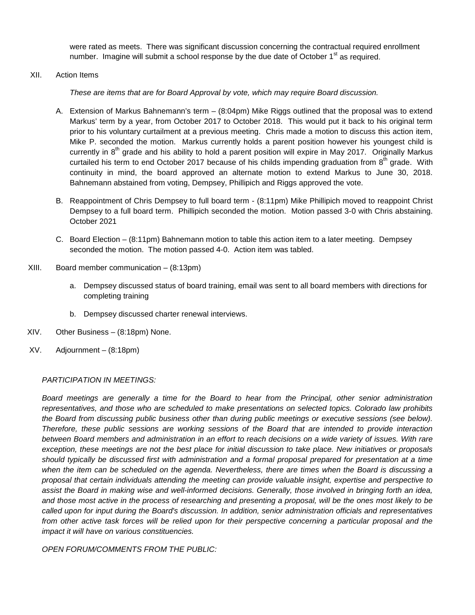were rated as meets. There was significant discussion concerning the contractual required enrollment number. Imagine will submit a school response by the due date of October 1<sup>st</sup> as required.

XII. Action Items

*These are items that are for Board Approval by vote, which may require Board discussion.*

- A. Extension of Markus Bahnemann's term (8:04pm) Mike Riggs outlined that the proposal was to extend Markus' term by a year, from October 2017 to October 2018. This would put it back to his original term prior to his voluntary curtailment at a previous meeting. Chris made a motion to discuss this action item, Mike P. seconded the motion. Markus currently holds a parent position however his youngest child is currently in  $8<sup>th</sup>$  grade and his ability to hold a parent position will expire in May 2017. Originally Markus curtailed his term to end October 2017 because of his childs impending graduation from 8<sup>th</sup> grade. With continuity in mind, the board approved an alternate motion to extend Markus to June 30, 2018. Bahnemann abstained from voting, Dempsey, Phillipich and Riggs approved the vote.
- B. Reappointment of Chris Dempsey to full board term (8:11pm) Mike Phillipich moved to reappoint Christ Dempsey to a full board term. Phillipich seconded the motion. Motion passed 3-0 with Chris abstaining. October 2021
- C. Board Election (8:11pm) Bahnemann motion to table this action item to a later meeting. Dempsey seconded the motion. The motion passed 4-0. Action item was tabled.
- XIII. Board member communication (8:13pm)
	- a. Dempsey discussed status of board training, email was sent to all board members with directions for completing training
	- b. Dempsey discussed charter renewal interviews.
- XIV. Other Business (8:18pm) None.
- XV. Adjournment (8:18pm)

## *PARTICIPATION IN MEETINGS:*

*Board meetings are generally a time for the Board to hear from the Principal, other senior administration representatives, and those who are scheduled to make presentations on selected topics. Colorado law prohibits*  the Board from discussing public business other than during public meetings or executive sessions (see below). *Therefore, these public sessions are working sessions of the Board that are intended to provide interaction between Board members and administration in an effort to reach decisions on a wide variety of issues. With rare exception, these meetings are not the best place for initial discussion to take place. New initiatives or proposals should typically be discussed first with administration and a formal proposal prepared for presentation at a time*  when the item can be scheduled on the agenda. Nevertheless, there are times when the Board is discussing a *proposal that certain individuals attending the meeting can provide valuable insight, expertise and perspective to assist the Board in making wise and well-informed decisions. Generally, those involved in bringing forth an idea, and those most active in the process of researching and presenting a proposal, will be the ones most likely to be called upon for input during the Board's discussion. In addition, senior administration officials and representatives*  from other active task forces will be relied upon for their perspective concerning a particular proposal and the *impact it will have on various constituencies.* 

*OPEN FORUM/COMMENTS FROM THE PUBLIC:*